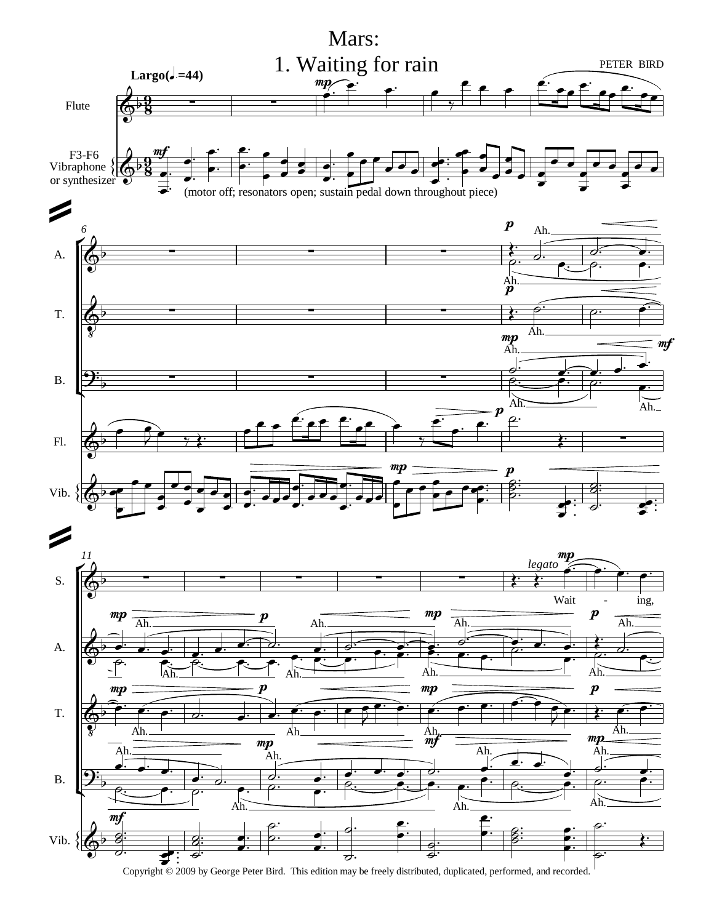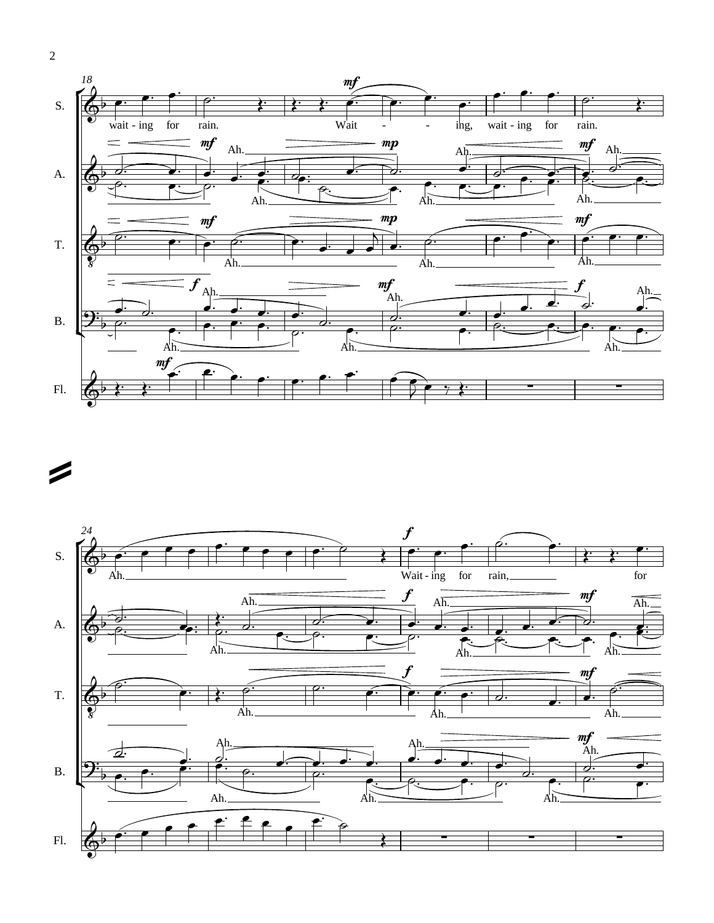



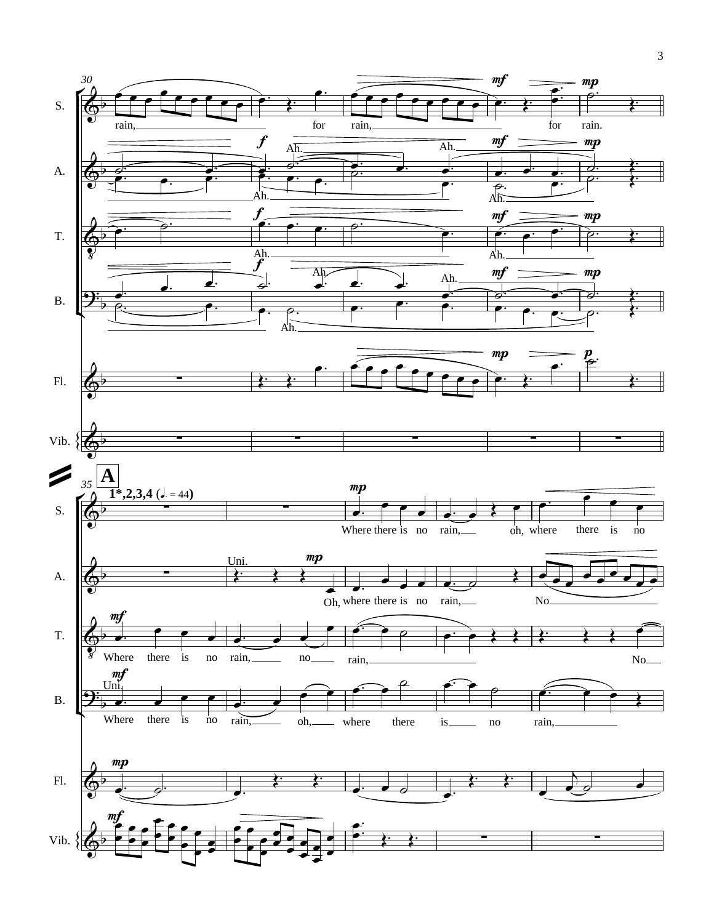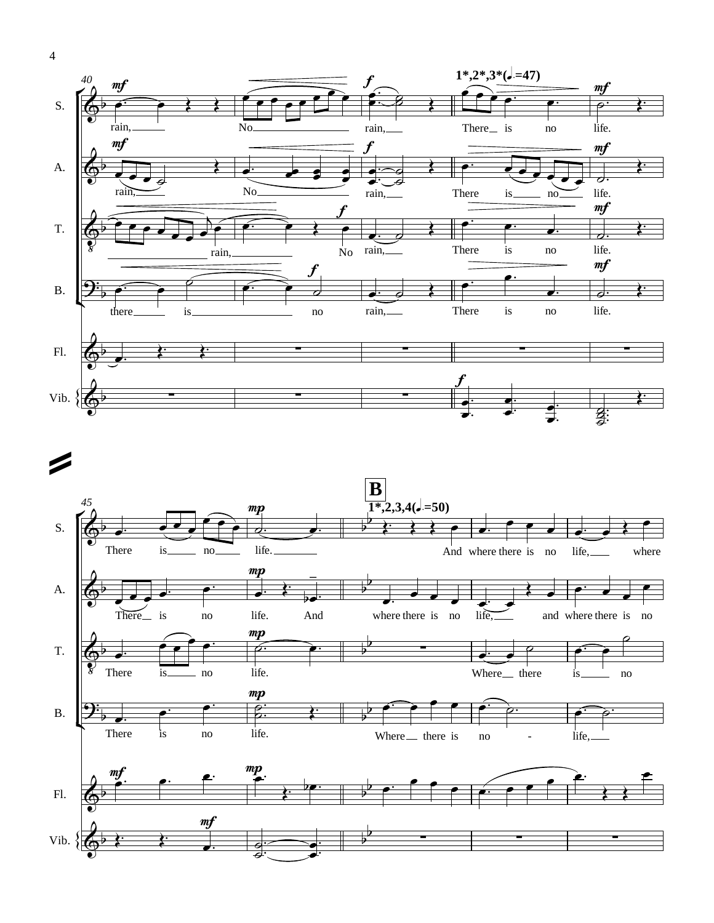



Where

there

is

no



4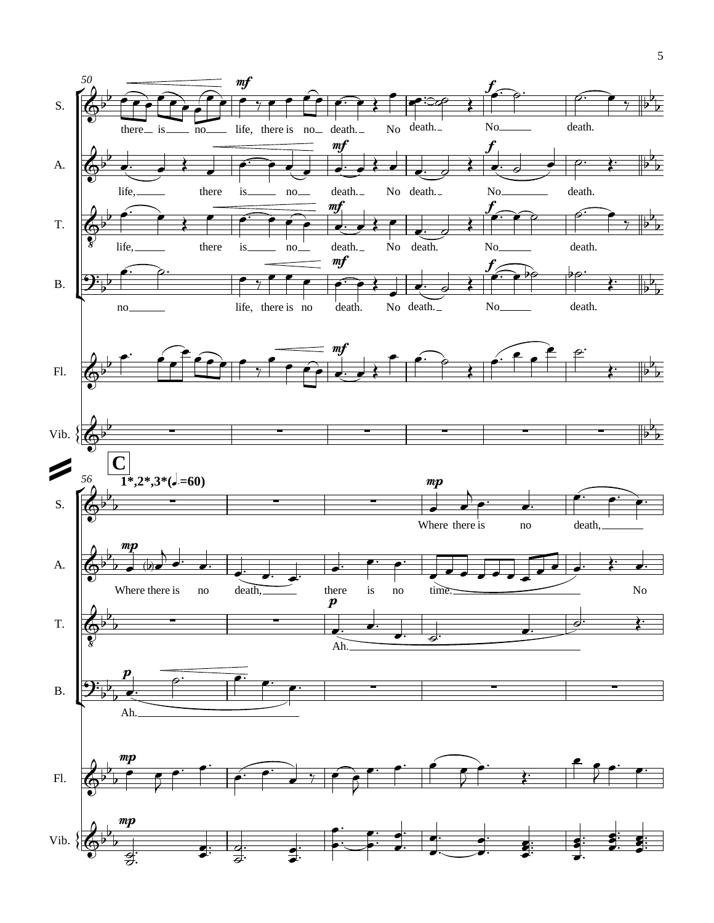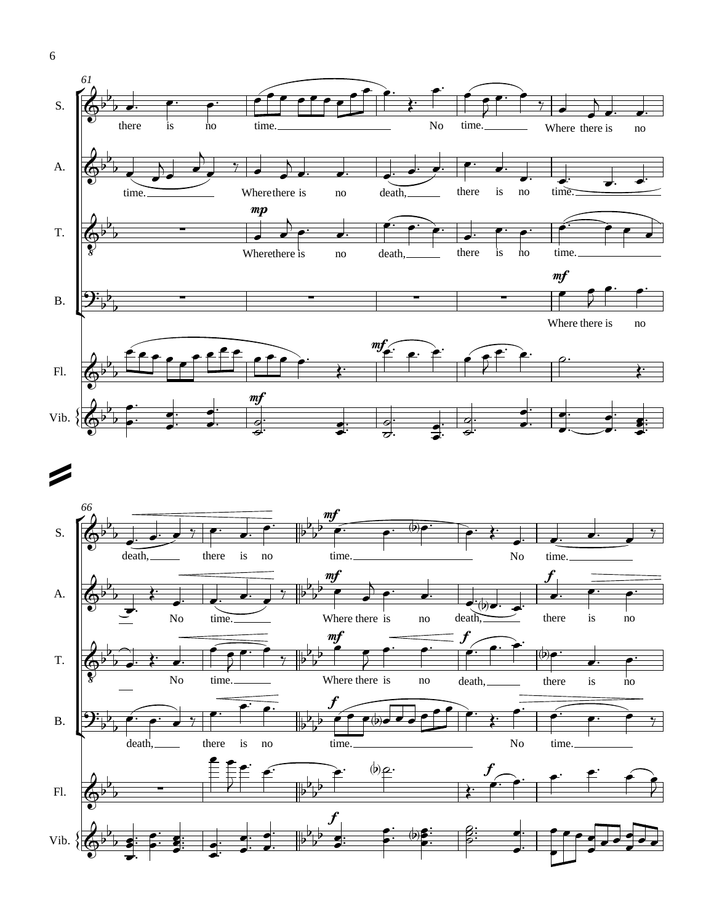



6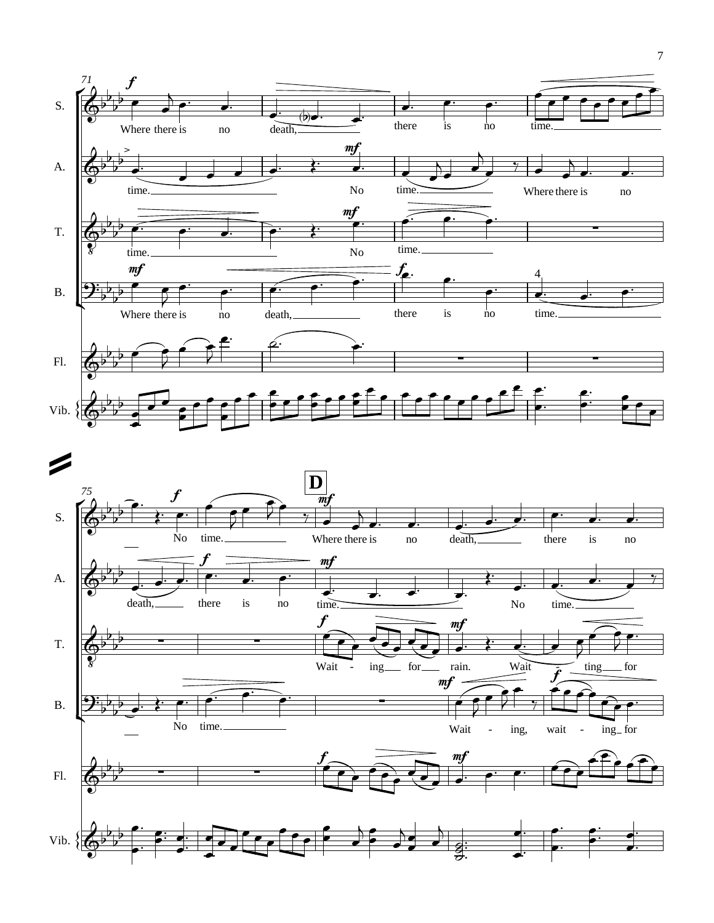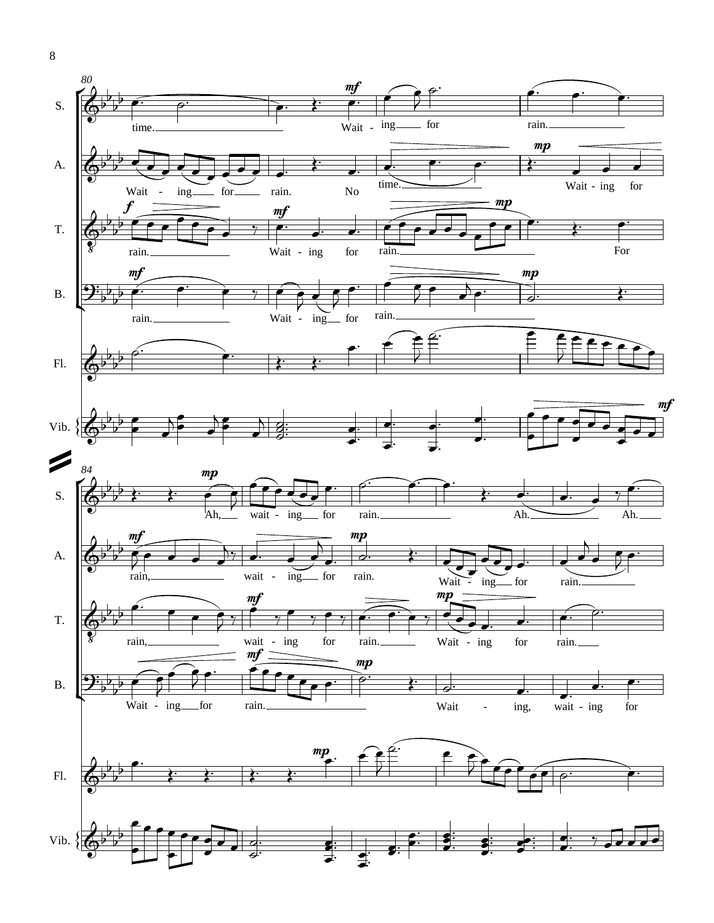

8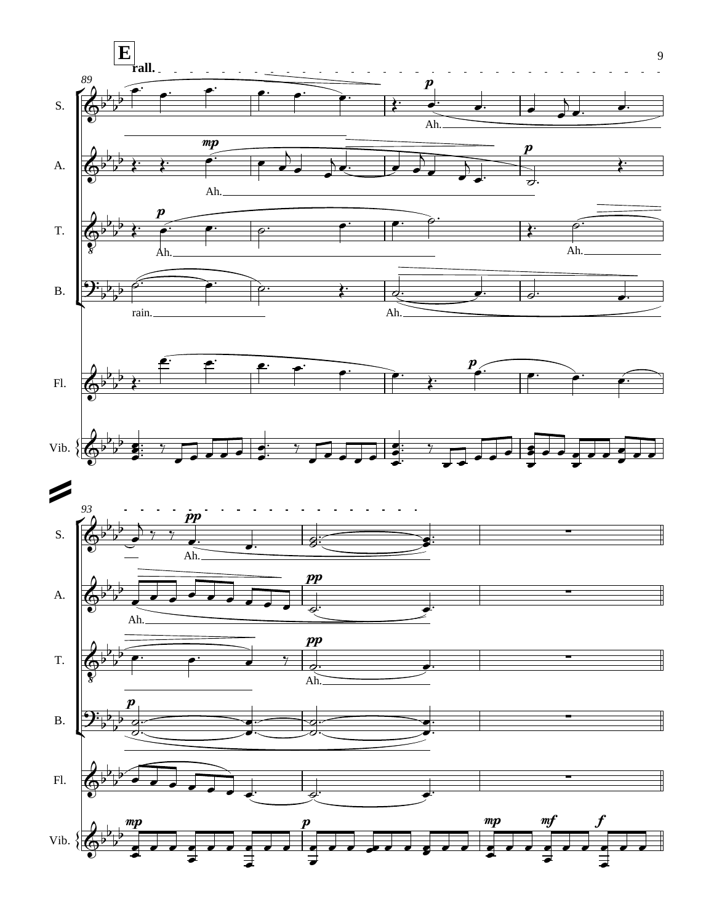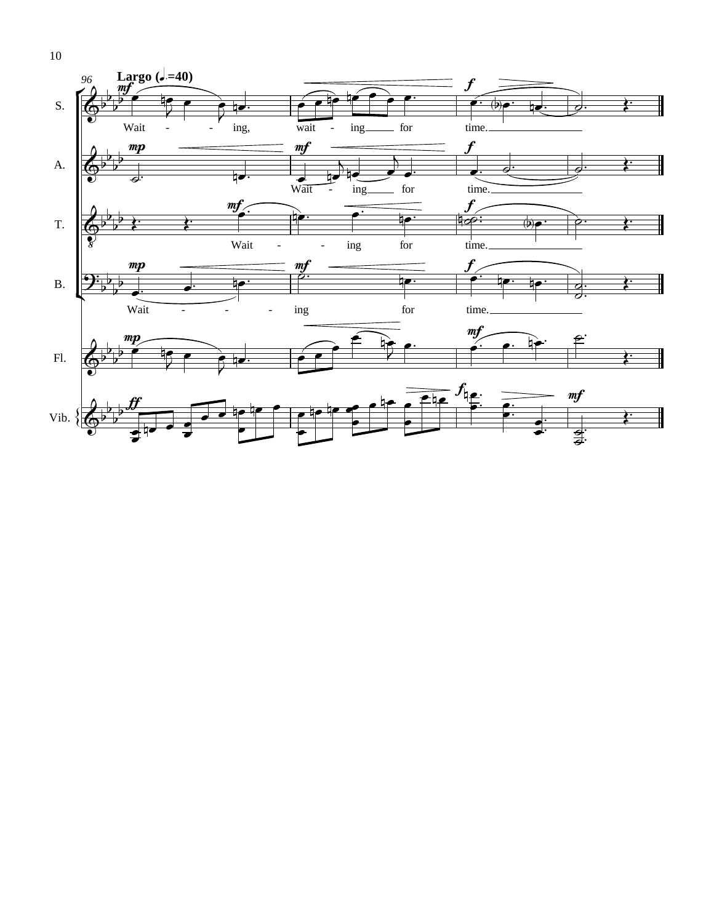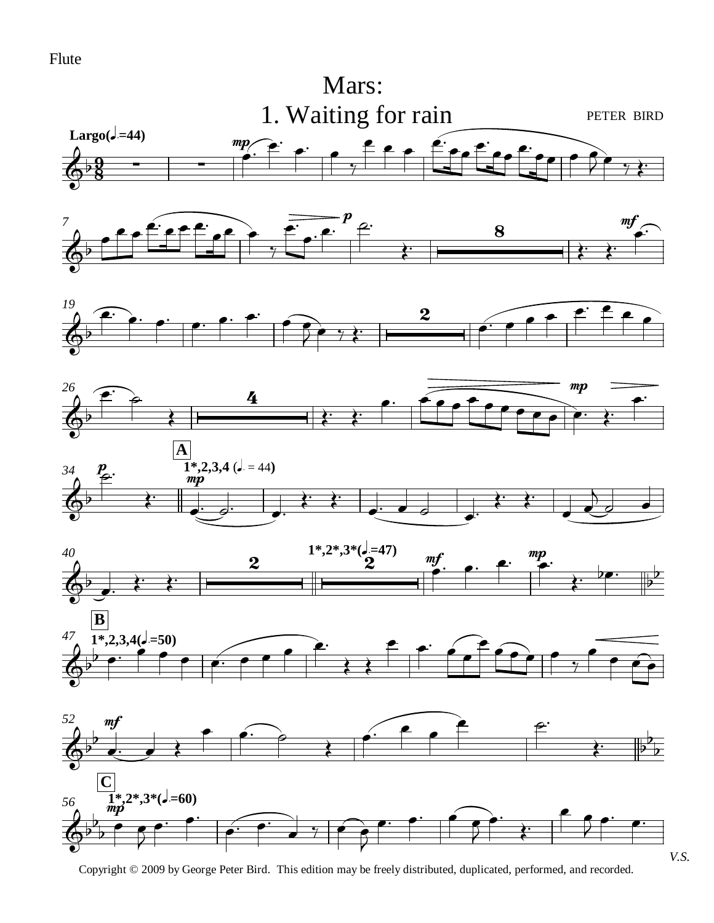Flute



Copyright © 2009 by George Peter Bird. This edition may be freely distributed, duplicated, performed, and recorded.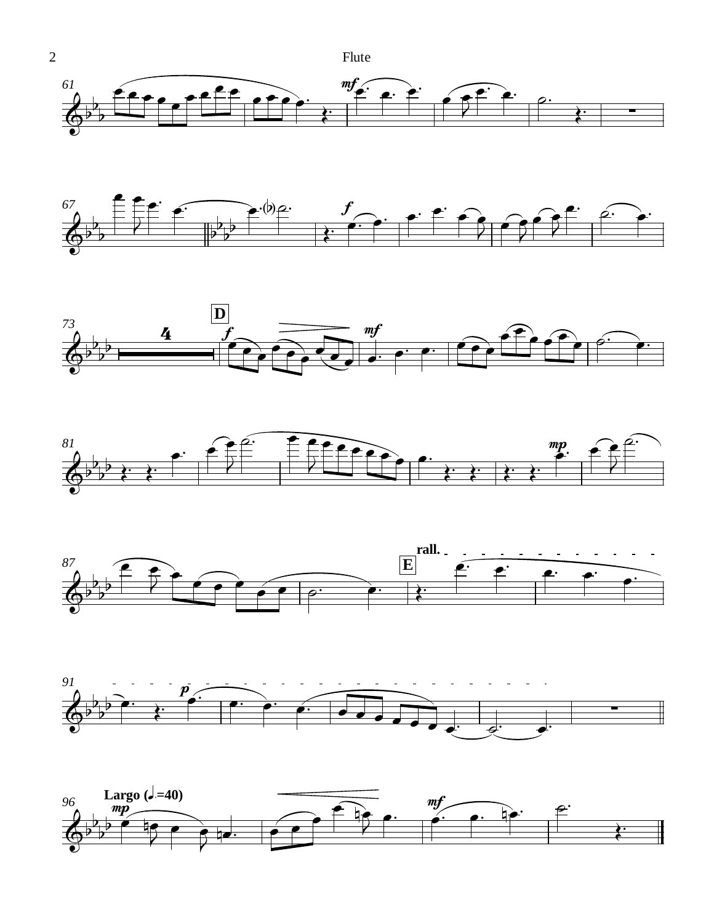











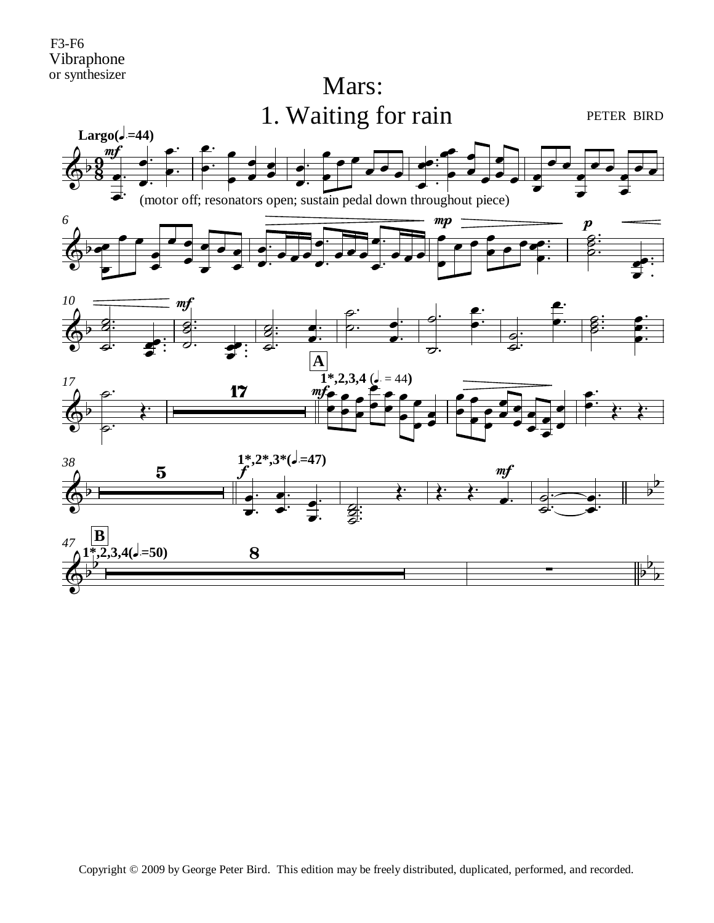## Mars: 1. Waiting for rain

PETER BIRD